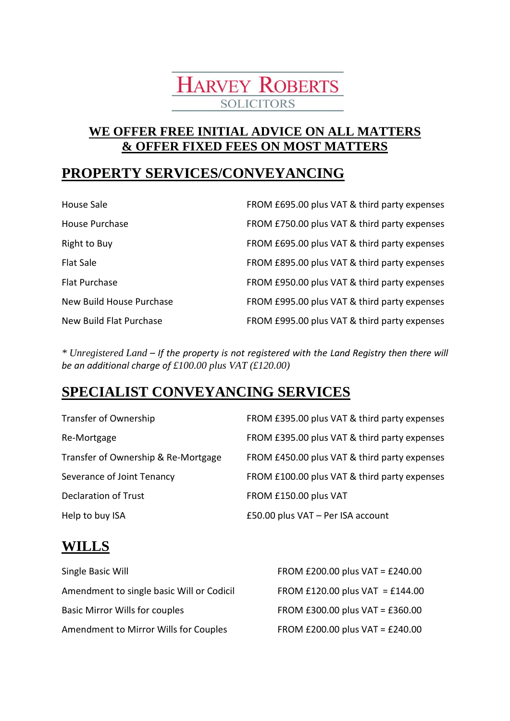# HARVEY ROBERTS **SOLICITORS**

### **WE OFFER FREE INITIAL ADVICE ON ALL MATTERS & OFFER FIXED FEES ON MOST MATTERS**

### **PROPERTY SERVICES/CONVEYANCING**

| House Sale               | FROM £695.00 plus VAT & third party expenses |
|--------------------------|----------------------------------------------|
| House Purchase           | FROM £750.00 plus VAT & third party expenses |
| <b>Right to Buy</b>      | FROM £695.00 plus VAT & third party expenses |
| Flat Sale                | FROM £895.00 plus VAT & third party expenses |
| Flat Purchase            | FROM £950.00 plus VAT & third party expenses |
| New Build House Purchase | FROM £995.00 plus VAT & third party expenses |
| New Build Flat Purchase  | FROM £995.00 plus VAT & third party expenses |

*\* Unregistered Land – If the property is not registered with the Land Registry then there will be an additional charge of £100.00 plus VAT (£120.00)*

## **SPECIALIST CONVEYANCING SERVICES**

| Transfer of Ownership               | FROM £395.00 plus VAT & third party expenses |
|-------------------------------------|----------------------------------------------|
| Re-Mortgage                         | FROM £395.00 plus VAT & third party expenses |
| Transfer of Ownership & Re-Mortgage | FROM £450.00 plus VAT & third party expenses |
| Severance of Joint Tenancy          | FROM £100.00 plus VAT & third party expenses |
| <b>Declaration of Trust</b>         | FROM £150.00 plus VAT                        |
| Help to buy ISA                     | £50.00 plus VAT - Per ISA account            |

### **WILLS**

| Single Basic Will                         | FROM £200.00 plus VAT = £240.00 |
|-------------------------------------------|---------------------------------|
| Amendment to single basic Will or Codicil | FROM £120.00 plus VAT = £144.00 |
| <b>Basic Mirror Wills for couples</b>     | FROM £300.00 plus VAT = £360.00 |
| Amendment to Mirror Wills for Couples     | FROM £200.00 plus VAT = £240.00 |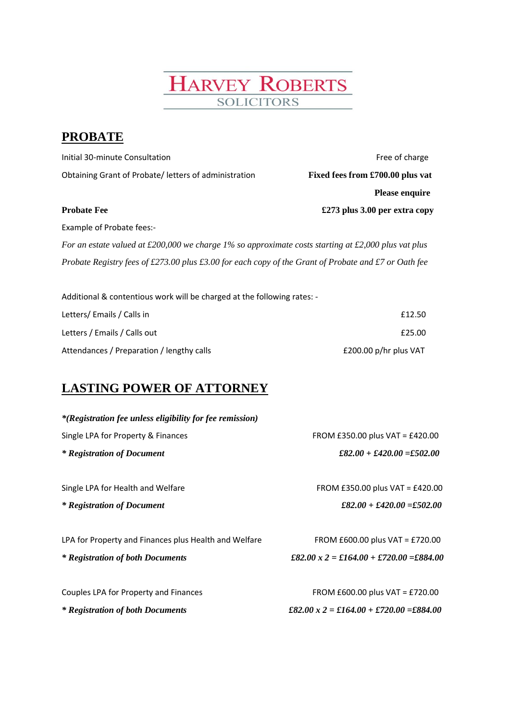| TRUNTI RODENIS<br><b>SOLICITORS</b>                                                                  |                                  |
|------------------------------------------------------------------------------------------------------|----------------------------------|
| <b>PROBATE</b>                                                                                       |                                  |
| Initial 30-minute Consultation                                                                       | Free of charge                   |
| Obtaining Grant of Probate/ letters of administration                                                | Fixed fees from £700.00 plus vat |
|                                                                                                      | <b>Please enquire</b>            |
| <b>Probate Fee</b>                                                                                   | £273 plus 3.00 per extra copy    |
| Example of Probate fees:-                                                                            |                                  |
| For an estate valued at £200,000 we charge 1% so approximate costs starting at £2,000 plus vat plus  |                                  |
| Probate Registry fees of £273.00 plus £3.00 for each copy of the Grant of Probate and £7 or Oath fee |                                  |
| Additional & contentious work will be charged at the following rates: -                              |                                  |
| Letters/ Emails / Calls in                                                                           | £12.50                           |
| Letters / Emails / Calls out                                                                         | £25.00                           |
| Attendances / Preparation / lengthy calls                                                            | £200.00 p/hr plus VAT            |
| <b>LASTING POWER OF ATTORNEY</b>                                                                     |                                  |
| *(Registration fee unless eligibility for fee remission)                                             |                                  |
| Single LPA for Property & Finances                                                                   | FROM £350.00 plus VAT = £420.00  |
|                                                                                                      |                                  |

**HARVEY ROBERTS** 

*\* Registration of Document £82.00 + £420.00 =£502.00*

Single LPA for Health and Welfare FROM £350.00 plus VAT = £420.00 *\* Registration of Document £82.00 + £420.00 =£502.00* LPA for Property and Finances plus Health and Welfare FROM  $E$ 600.00 plus VAT = £720.00 *\* Registration of both Documents £82.00 x 2 = £164.00 + £720.00 =£884.00* Couples LPA for Property and Finances FROM £600.00 plus VAT = £720.00

*\* Registration of both Documents £82.00 x 2 = £164.00 + £720.00 =£884.00*